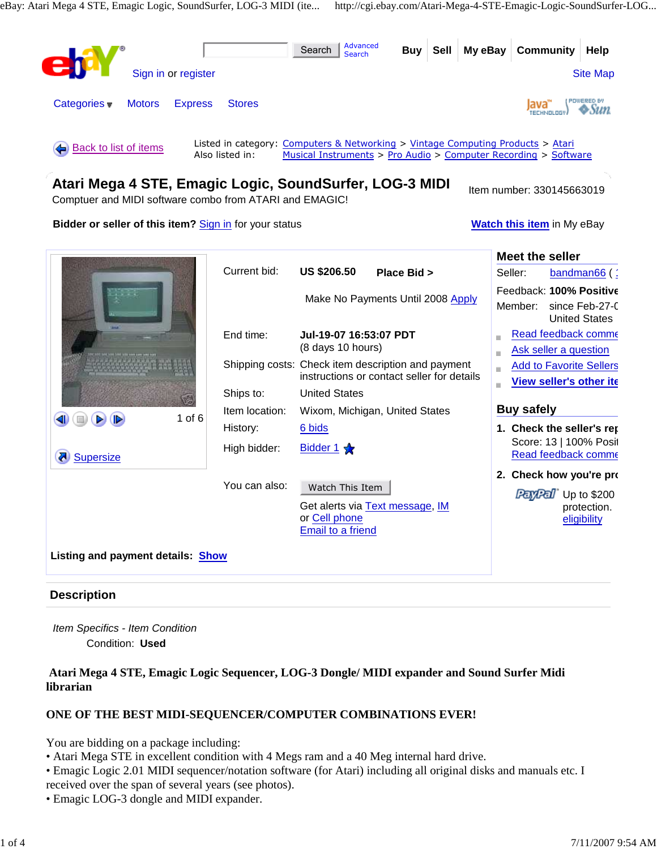

# **Description**

Item Specifics - Item Condition Condition: **Used** 

# **Atari Mega 4 STE, Emagic Logic Sequencer, LOG-3 Dongle/ MIDI expander and Sound Surfer Midi librarian**

# **ONE OF THE BEST MIDI-SEQUENCER/COMPUTER COMBINATIONS EVER!**

You are bidding on a package including:

- Atari Mega STE in excellent condition with 4 Megs ram and a 40 Meg internal hard drive.
- Emagic Logic 2.01 MIDI sequencer/notation software (for Atari) including all original disks and manuals etc. I received over the span of several years (see photos).
- Emagic LOG-3 dongle and MIDI expander.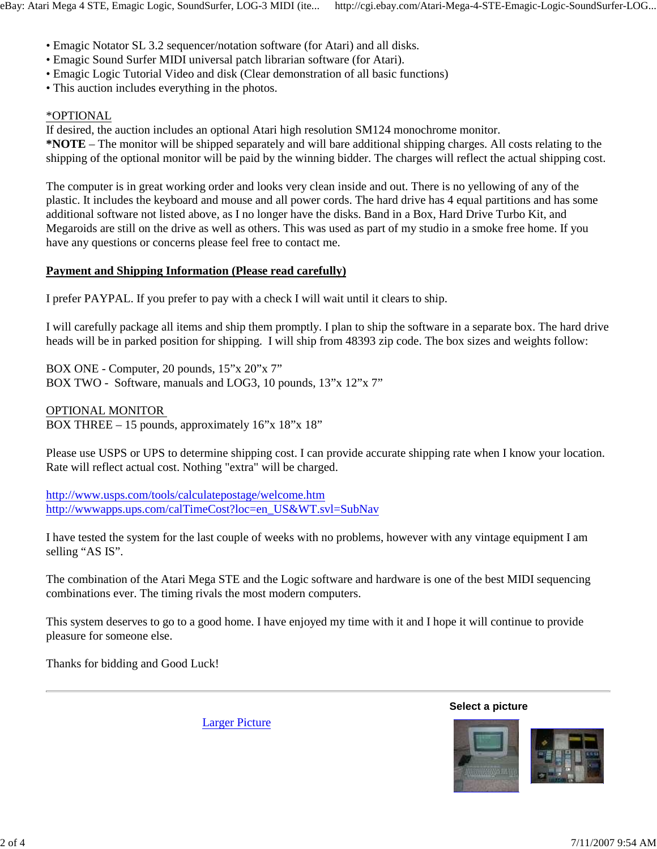- Emagic Notator SL 3.2 sequencer/notation software (for Atari) and all disks.
- Emagic Sound Surfer MIDI universal patch librarian software (for Atari).
- Emagic Logic Tutorial Video and disk (Clear demonstration of all basic functions)
- This auction includes everything in the photos.

# \*OPTIONAL

If desired, the auction includes an optional Atari high resolution SM124 monochrome monitor. **\*NOTE** – The monitor will be shipped separately and will bare additional shipping charges. All costs relating to the shipping of the optional monitor will be paid by the winning bidder. The charges will reflect the actual shipping cost.

The computer is in great working order and looks very clean inside and out. There is no yellowing of any of the plastic. It includes the keyboard and mouse and all power cords. The hard drive has 4 equal partitions and has some additional software not listed above, as I no longer have the disks. Band in a Box, Hard Drive Turbo Kit, and Megaroids are still on the drive as well as others. This was used as part of my studio in a smoke free home. If you have any questions or concerns please feel free to contact me.

# **Payment and Shipping Information (Please read carefully)**

I prefer PAYPAL. If you prefer to pay with a check I will wait until it clears to ship.

I will carefully package all items and ship them promptly. I plan to ship the software in a separate box. The hard drive heads will be in parked position for shipping. I will ship from 48393 zip code. The box sizes and weights follow:

BOX ONE - Computer, 20 pounds, 15"x 20"x 7" BOX TWO - Software, manuals and LOG3, 10 pounds, 13"x 12"x 7"

### OPTIONAL MONITOR

BOX THREE – 15 pounds, approximately 16"x 18"x 18"

Please use USPS or UPS to determine shipping cost. I can provide accurate shipping rate when I know your location. Rate will reflect actual cost. Nothing "extra" will be charged.

http://www.usps.com/tools/calculatepostage/welcome.htm http://wwwapps.ups.com/calTimeCost?loc=en\_US&WT.svl=SubNav

I have tested the system for the last couple of weeks with no problems, however with any vintage equipment I am selling "AS IS".

The combination of the Atari Mega STE and the Logic software and hardware is one of the best MIDI sequencing combinations ever. The timing rivals the most modern computers.

This system deserves to go to a good home. I have enjoyed my time with it and I hope it will continue to provide pleasure for someone else.

Thanks for bidding and Good Luck!

Larger Picture

**Select a picture**

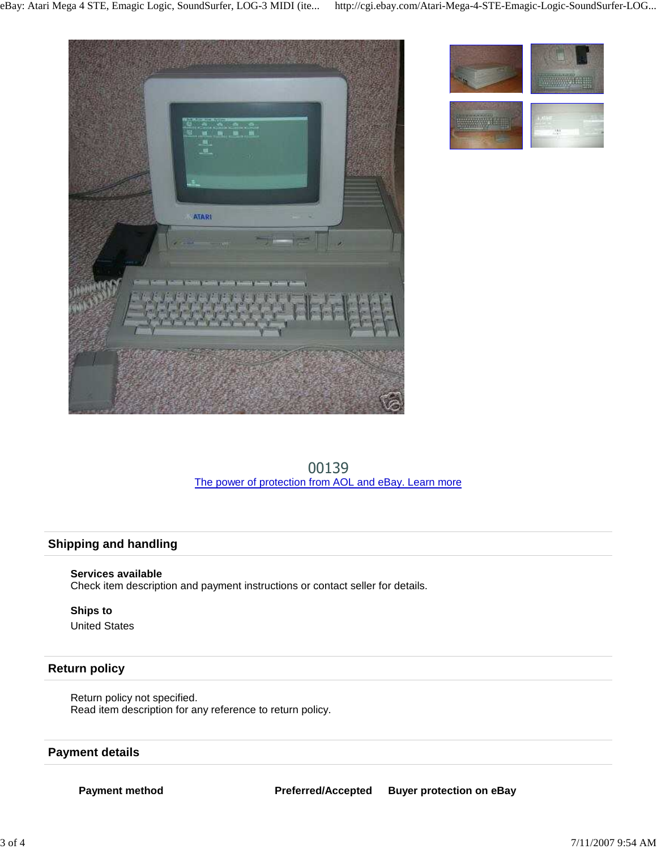





00139 The power of protection from AOL and eBay. Learn more

# **Shipping and handling**

### **Services available**

Check item description and payment instructions or contact seller for details.

#### **Ships to** United States

### **Return policy**

Return policy not specified. Read item description for any reference to return policy.

### **Payment details**